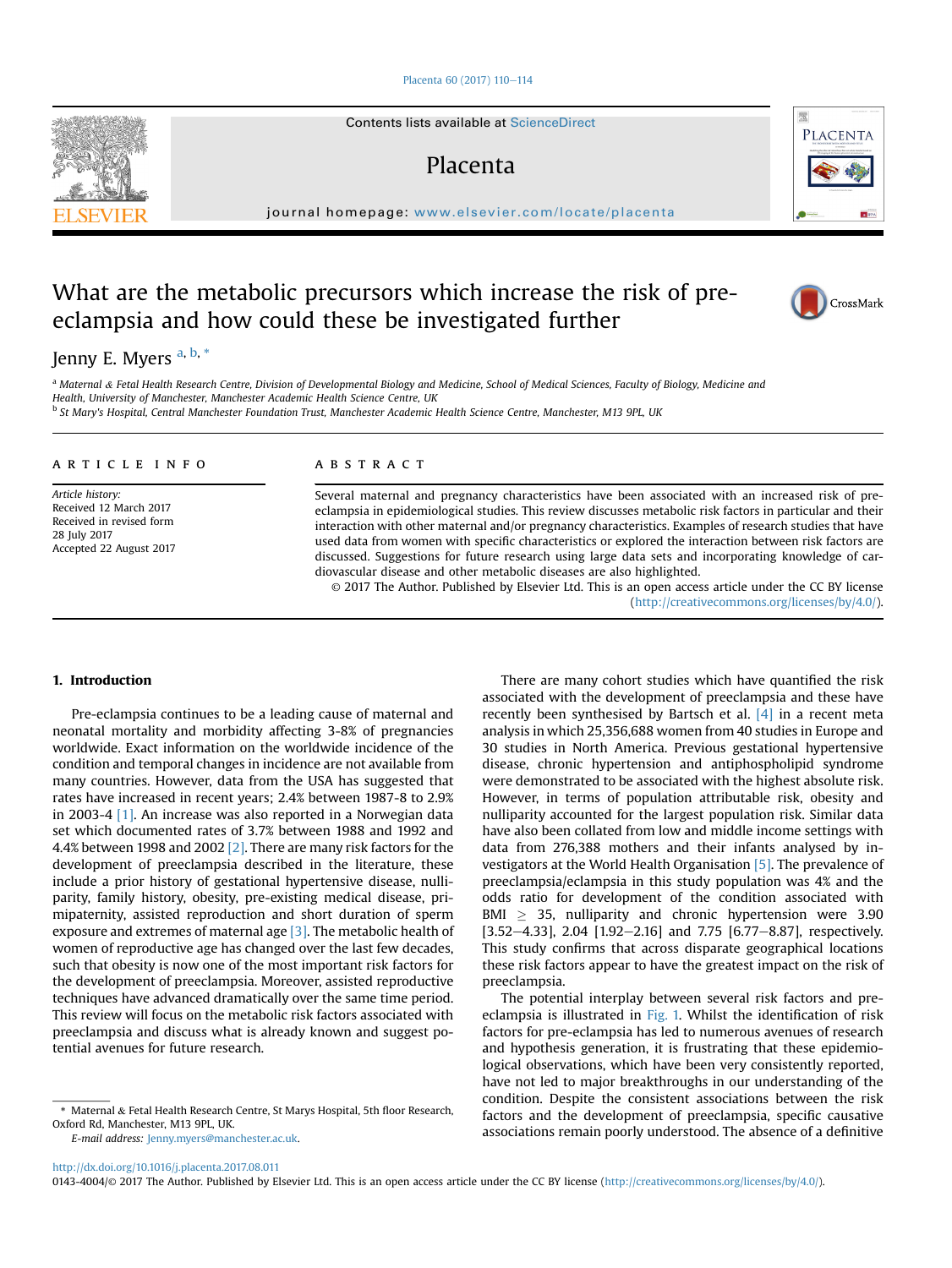#### [Placenta 60 \(2017\) 110](http://dx.doi.org/10.1016/j.placenta.2017.08.011)-[114](http://dx.doi.org/10.1016/j.placenta.2017.08.011)

Contents lists available at [ScienceDirect](www.sciencedirect.com/science/journal/01434004)

## Placenta

journal homepage: [www.elsevier.com/locate/placenta](http://www.elsevier.com/locate/placenta)

# What are the metabolic precursors which increase the risk of preeclampsia and how could these be investigated further



<sup>a</sup> Maternal & Fetal Health Research Centre, Division of Developmental Biology and Medicine, School of Medical Sciences, Faculty of Biology, Medicine and Health, University of Manchester, Manchester Academic Health Science Centre, UK <sup>b</sup> St Mary's Hospital, Central Manchester Foundation Trust, Manchester Academic Health Science Centre, Manchester, M13 9PL, UK

#### article info

Article history: Received 12 March 2017 Received in revised form 28 July 2017 Accepted 22 August 2017

#### **ABSTRACT**

Several maternal and pregnancy characteristics have been associated with an increased risk of preeclampsia in epidemiological studies. This review discusses metabolic risk factors in particular and their interaction with other maternal and/or pregnancy characteristics. Examples of research studies that have used data from women with specific characteristics or explored the interaction between risk factors are discussed. Suggestions for future research using large data sets and incorporating knowledge of cardiovascular disease and other metabolic diseases are also highlighted.

© 2017 The Author. Published by Elsevier Ltd. This is an open access article under the CC BY license [\(http://creativecommons.org/licenses/by/4.0/](http://creativecommons.org/licenses/by/4.0/)).

## 1. Introduction

Pre-eclampsia continues to be a leading cause of maternal and neonatal mortality and morbidity affecting 3-8% of pregnancies worldwide. Exact information on the worldwide incidence of the condition and temporal changes in incidence are not available from many countries. However, data from the USA has suggested that rates have increased in recent years; 2.4% between 1987-8 to 2.9% in 2003-4 [\[1\].](#page-3-0) An increase was also reported in a Norwegian data set which documented rates of 3.7% between 1988 and 1992 and 4.4% between 1998 and 2002 [\[2\]](#page-3-0). There are many risk factors for the development of preeclampsia described in the literature, these include a prior history of gestational hypertensive disease, nulliparity, family history, obesity, pre-existing medical disease, primipaternity, assisted reproduction and short duration of sperm exposure and extremes of maternal age [\[3\]](#page-3-0). The metabolic health of women of reproductive age has changed over the last few decades, such that obesity is now one of the most important risk factors for the development of preeclampsia. Moreover, assisted reproductive techniques have advanced dramatically over the same time period. This review will focus on the metabolic risk factors associated with preeclampsia and discuss what is already known and suggest potential avenues for future research.

E-mail address: [Jenny.myers@manchester.ac.uk](mailto:Jenny.myers@manchester.ac.uk).

There are many cohort studies which have quantified the risk associated with the development of preeclampsia and these have recently been synthesised by Bartsch et al. [\[4\]](#page-3-0) in a recent meta analysis in which 25,356,688 women from 40 studies in Europe and 30 studies in North America. Previous gestational hypertensive disease, chronic hypertension and antiphospholipid syndrome were demonstrated to be associated with the highest absolute risk. However, in terms of population attributable risk, obesity and nulliparity accounted for the largest population risk. Similar data have also been collated from low and middle income settings with data from 276,388 mothers and their infants analysed by investigators at the World Health Organisation [\[5\].](#page-3-0) The prevalence of preeclampsia/eclampsia in this study population was 4% and the odds ratio for development of the condition associated with BMI  $\geq$  35, nulliparity and chronic hypertension were 3.90 [3.52-4.33], 2.04  $[1.92-2.16]$  and 7.75  $[6.77-8.87]$ , respectively. This study confirms that across disparate geographical locations these risk factors appear to have the greatest impact on the risk of preeclampsia.

The potential interplay between several risk factors and preeclampsia is illustrated in [Fig. 1.](#page-1-0) Whilst the identification of risk factors for pre-eclampsia has led to numerous avenues of research and hypothesis generation, it is frustrating that these epidemiological observations, which have been very consistently reported, have not led to major breakthroughs in our understanding of the condition. Despite the consistent associations between the risk factors and the development of preeclampsia, specific causative associations remain poorly understood. The absence of a definitive

0143-4004/© 2017 The Author. Published by Elsevier Ltd. This is an open access article under the CC BY license (<http://creativecommons.org/licenses/by/4.0/>).





CrossMark

<sup>\*</sup> Maternal & Fetal Health Research Centre, St Marys Hospital, 5th floor Research, Oxford Rd, Manchester, M13 9PL, UK.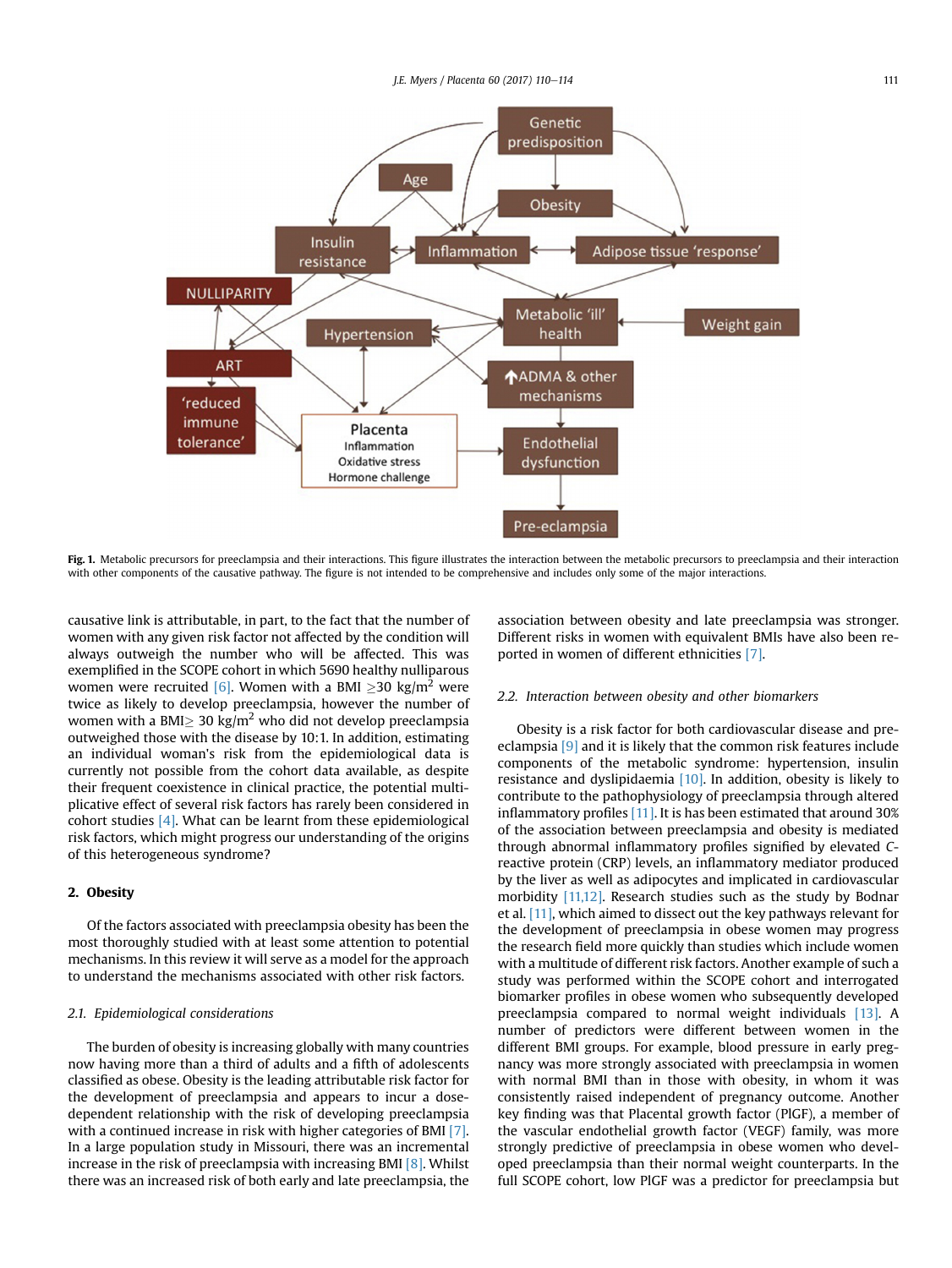<span id="page-1-0"></span>

Fig. 1. Metabolic precursors for preeclampsia and their interactions. This figure illustrates the interaction between the metabolic precursors to preeclampsia and their interaction with other components of the causative pathway. The figure is not intended to be comprehensive and includes only some of the major interactions.

causative link is attributable, in part, to the fact that the number of women with any given risk factor not affected by the condition will always outweigh the number who will be affected. This was exemplified in the SCOPE cohort in which 5690 healthy nulliparous women were recruited [\[6\]](#page-3-0). Women with a BMI >30 kg/m<sup>2</sup> were twice as likely to develop preeclampsia, however the number of women with a BMI $\geq$  30 kg/m<sup>2</sup> who did not develop preeclampsia outweighed those with the disease by 10:1. In addition, estimating an individual woman's risk from the epidemiological data is currently not possible from the cohort data available, as despite their frequent coexistence in clinical practice, the potential multiplicative effect of several risk factors has rarely been considered in cohort studies [\[4\].](#page-3-0) What can be learnt from these epidemiological risk factors, which might progress our understanding of the origins of this heterogeneous syndrome?

## 2. Obesity

Of the factors associated with preeclampsia obesity has been the most thoroughly studied with at least some attention to potential mechanisms. In this review it will serve as a model for the approach to understand the mechanisms associated with other risk factors.

#### 2.1. Epidemiological considerations

The burden of obesity is increasing globally with many countries now having more than a third of adults and a fifth of adolescents classified as obese. Obesity is the leading attributable risk factor for the development of preeclampsia and appears to incur a dosedependent relationship with the risk of developing preeclampsia with a continued increase in risk with higher categories of BMI [\[7\].](#page-3-0) In a large population study in Missouri, there was an incremental increase in the risk of preeclampsia with increasing BMI [\[8\].](#page-3-0) Whilst there was an increased risk of both early and late preeclampsia, the association between obesity and late preeclampsia was stronger. Different risks in women with equivalent BMIs have also been reported in women of different ethnicities [\[7\]](#page-3-0).

#### 2.2. Interaction between obesity and other biomarkers

Obesity is a risk factor for both cardiovascular disease and preeclampsia [\[9\]](#page-3-0) and it is likely that the common risk features include components of the metabolic syndrome: hypertension, insulin resistance and dyslipidaemia [\[10\]](#page-3-0). In addition, obesity is likely to contribute to the pathophysiology of preeclampsia through altered inflammatory profiles [\[11\]](#page-3-0). It is has been estimated that around 30% of the association between preeclampsia and obesity is mediated through abnormal inflammatory profiles signified by elevated Creactive protein (CRP) levels, an inflammatory mediator produced by the liver as well as adipocytes and implicated in cardiovascular morbidity [\[11,12\].](#page-3-0) Research studies such as the study by Bodnar et al. [\[11\],](#page-3-0) which aimed to dissect out the key pathways relevant for the development of preeclampsia in obese women may progress the research field more quickly than studies which include women with a multitude of different risk factors. Another example of such a study was performed within the SCOPE cohort and interrogated biomarker profiles in obese women who subsequently developed preeclampsia compared to normal weight individuals [\[13\].](#page-3-0) A number of predictors were different between women in the different BMI groups. For example, blood pressure in early pregnancy was more strongly associated with preeclampsia in women with normal BMI than in those with obesity, in whom it was consistently raised independent of pregnancy outcome. Another key finding was that Placental growth factor (PlGF), a member of the vascular endothelial growth factor (VEGF) family, was more strongly predictive of preeclampsia in obese women who developed preeclampsia than their normal weight counterparts. In the full SCOPE cohort, low PlGF was a predictor for preeclampsia but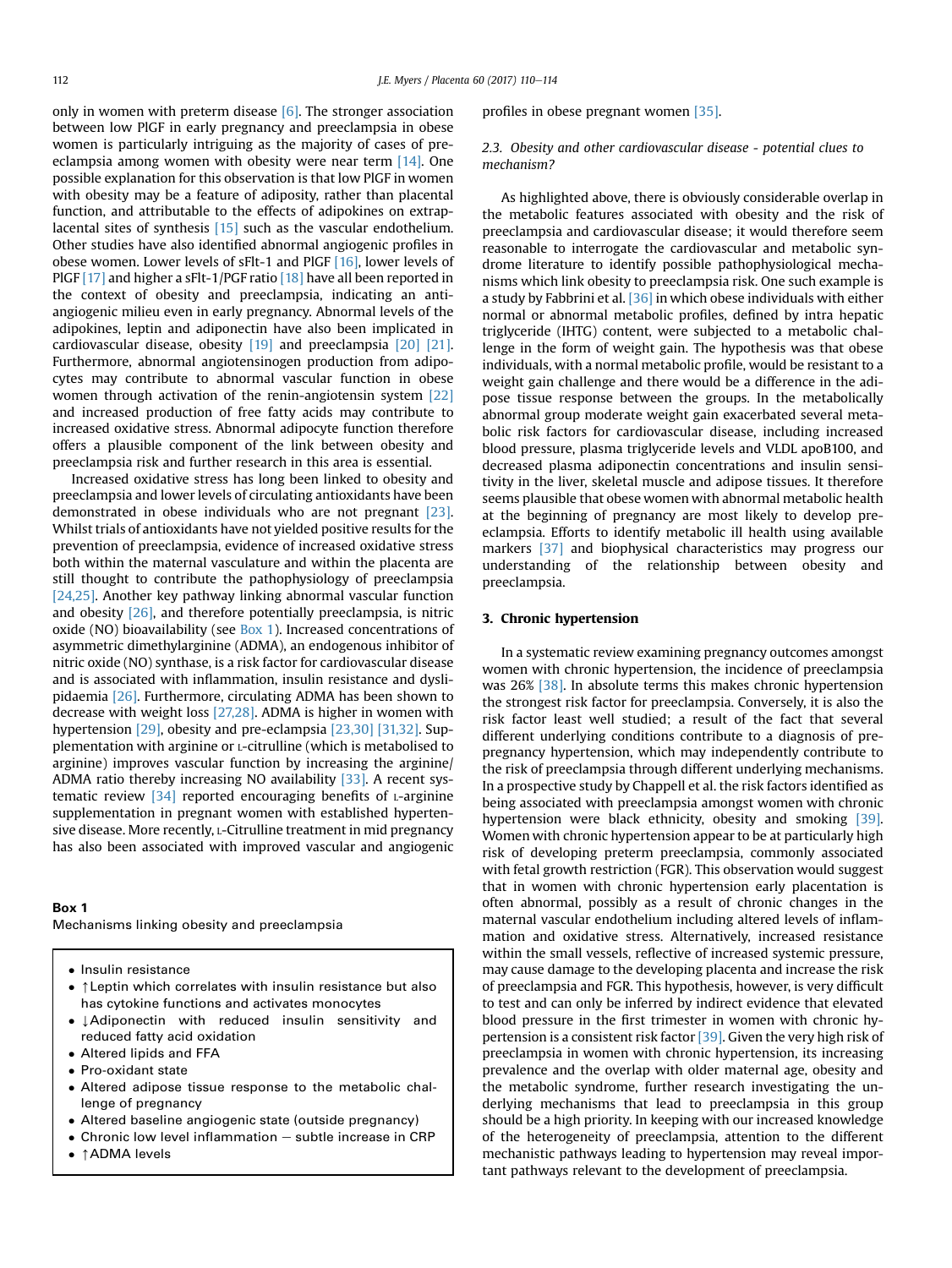only in women with preterm disease  $[6]$ . The stronger association between low PlGF in early pregnancy and preeclampsia in obese women is particularly intriguing as the majority of cases of preeclampsia among women with obesity were near term [\[14\].](#page-3-0) One possible explanation for this observation is that low PlGF in women with obesity may be a feature of adiposity, rather than placental function, and attributable to the effects of adipokines on extraplacental sites of synthesis [\[15\]](#page-4-0) such as the vascular endothelium. Other studies have also identified abnormal angiogenic profiles in obese women. Lower levels of sFlt-1 and PlGF [\[16\]](#page-4-0), lower levels of PlGF [\[17\]](#page-4-0) and higher a sFlt-1/PGF ratio [\[18\]](#page-4-0) have all been reported in the context of obesity and preeclampsia, indicating an antiangiogenic milieu even in early pregnancy. Abnormal levels of the adipokines, leptin and adiponectin have also been implicated in cardiovascular disease, obesity [\[19\]](#page-4-0) and preeclampsia [\[20\] \[21\].](#page-4-0) Furthermore, abnormal angiotensinogen production from adipocytes may contribute to abnormal vascular function in obese women through activation of the renin-angiotensin system [\[22\]](#page-4-0) and increased production of free fatty acids may contribute to increased oxidative stress. Abnormal adipocyte function therefore offers a plausible component of the link between obesity and preeclampsia risk and further research in this area is essential.

Increased oxidative stress has long been linked to obesity and preeclampsia and lower levels of circulating antioxidants have been demonstrated in obese individuals who are not pregnant [\[23\].](#page-4-0) Whilst trials of antioxidants have not yielded positive results for the prevention of preeclampsia, evidence of increased oxidative stress both within the maternal vasculature and within the placenta are still thought to contribute the pathophysiology of preeclampsia [\[24,25\]](#page-4-0). Another key pathway linking abnormal vascular function and obesity [\[26\],](#page-4-0) and therefore potentially preeclampsia, is nitric oxide (NO) bioavailability (see Box 1). Increased concentrations of asymmetric dimethylarginine (ADMA), an endogenous inhibitor of nitric oxide (NO) synthase, is a risk factor for cardiovascular disease and is associated with inflammation, insulin resistance and dyslipidaemia [\[26\].](#page-4-0) Furthermore, circulating ADMA has been shown to decrease with weight loss [\[27,28\]](#page-4-0). ADMA is higher in women with hypertension [\[29\]](#page-4-0), obesity and pre-eclampsia [\[23,30\] \[31,32\].](#page-4-0) Supplementation with arginine or L-citrulline (which is metabolised to arginine) improves vascular function by increasing the arginine/ ADMA ratio thereby increasing NO availability [\[33\].](#page-4-0) A recent systematic review  $[34]$  reported encouraging benefits of  $L$ -arginine supplementation in pregnant women with established hypertensive disease. More recently, L-Citrulline treatment in mid pregnancy has also been associated with improved vascular and angiogenic

## Box 1

Mechanisms linking obesity and preeclampsia

- Insulin resistance
- $\bullet$   $\uparrow$  Leptin which correlates with insulin resistance but also has cytokine functions and activates monocytes
- $\bullet$   $\downarrow$  Adiponectin with reduced insulin sensitivity and reduced fatty acid oxidation
- Altered lipids and FFA
- Pro-oxidant state
- Altered adipose tissue response to the metabolic challenge of pregnancy
- Altered baseline angiogenic state (outside pregnancy)
- $\bullet$  Chronic low level inflammation  $-$  subtle increase in CRP
- ↑ ADMA levels

profiles in obese pregnant women [\[35\].](#page-4-0)

2.3. Obesity and other cardiovascular disease - potential clues to mechanism?

As highlighted above, there is obviously considerable overlap in the metabolic features associated with obesity and the risk of preeclampsia and cardiovascular disease; it would therefore seem reasonable to interrogate the cardiovascular and metabolic syndrome literature to identify possible pathophysiological mechanisms which link obesity to preeclampsia risk. One such example is a study by Fabbrini et al. [\[36\]](#page-4-0) in which obese individuals with either normal or abnormal metabolic profiles, defined by intra hepatic triglyceride (IHTG) content, were subjected to a metabolic challenge in the form of weight gain. The hypothesis was that obese individuals, with a normal metabolic profile, would be resistant to a weight gain challenge and there would be a difference in the adipose tissue response between the groups. In the metabolically abnormal group moderate weight gain exacerbated several metabolic risk factors for cardiovascular disease, including increased blood pressure, plasma triglyceride levels and VLDL apoB100, and decreased plasma adiponectin concentrations and insulin sensitivity in the liver, skeletal muscle and adipose tissues. It therefore seems plausible that obese women with abnormal metabolic health at the beginning of pregnancy are most likely to develop preeclampsia. Efforts to identify metabolic ill health using available markers [\[37\]](#page-4-0) and biophysical characteristics may progress our understanding of the relationship between obesity and preeclampsia.

#### 3. Chronic hypertension

In a systematic review examining pregnancy outcomes amongst women with chronic hypertension, the incidence of preeclampsia was 26% [\[38\].](#page-4-0) In absolute terms this makes chronic hypertension the strongest risk factor for preeclampsia. Conversely, it is also the risk factor least well studied; a result of the fact that several different underlying conditions contribute to a diagnosis of prepregnancy hypertension, which may independently contribute to the risk of preeclampsia through different underlying mechanisms. In a prospective study by Chappell et al. the risk factors identified as being associated with preeclampsia amongst women with chronic hypertension were black ethnicity, obesity and smoking [\[39\].](#page-4-0) Women with chronic hypertension appear to be at particularly high risk of developing preterm preeclampsia, commonly associated with fetal growth restriction (FGR). This observation would suggest that in women with chronic hypertension early placentation is often abnormal, possibly as a result of chronic changes in the maternal vascular endothelium including altered levels of inflammation and oxidative stress. Alternatively, increased resistance within the small vessels, reflective of increased systemic pressure, may cause damage to the developing placenta and increase the risk of preeclampsia and FGR. This hypothesis, however, is very difficult to test and can only be inferred by indirect evidence that elevated blood pressure in the first trimester in women with chronic hypertension is a consistent risk factor [\[39\]](#page-4-0). Given the very high risk of preeclampsia in women with chronic hypertension, its increasing prevalence and the overlap with older maternal age, obesity and the metabolic syndrome, further research investigating the underlying mechanisms that lead to preeclampsia in this group should be a high priority. In keeping with our increased knowledge of the heterogeneity of preeclampsia, attention to the different mechanistic pathways leading to hypertension may reveal important pathways relevant to the development of preeclampsia.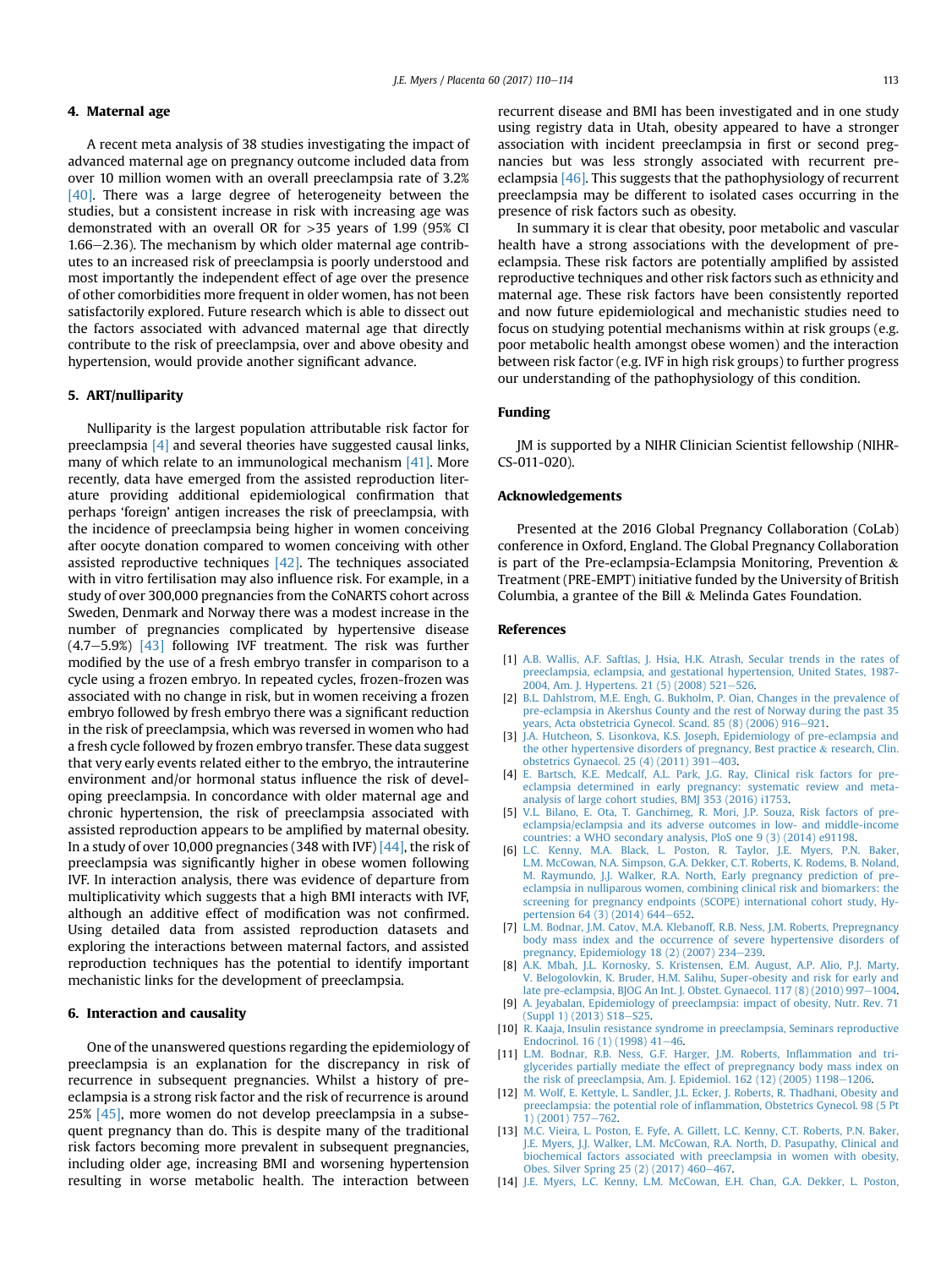#### <span id="page-3-0"></span>4. Maternal age

A recent meta analysis of 38 studies investigating the impact of advanced maternal age on pregnancy outcome included data from over 10 million women with an overall preeclampsia rate of 3.2% [\[40\].](#page-4-0) There was a large degree of heterogeneity between the studies, but a consistent increase in risk with increasing age was demonstrated with an overall OR for >35 years of 1.99 (95% CI  $1.66-2.36$ ). The mechanism by which older maternal age contributes to an increased risk of preeclampsia is poorly understood and most importantly the independent effect of age over the presence of other comorbidities more frequent in older women, has not been satisfactorily explored. Future research which is able to dissect out the factors associated with advanced maternal age that directly contribute to the risk of preeclampsia, over and above obesity and hypertension, would provide another significant advance.

#### 5. ART/nulliparity

Nulliparity is the largest population attributable risk factor for preeclampsia [4] and several theories have suggested causal links, many of which relate to an immunological mechanism [\[41\]](#page-4-0). More recently, data have emerged from the assisted reproduction literature providing additional epidemiological confirmation that perhaps 'foreign' antigen increases the risk of preeclampsia, with the incidence of preeclampsia being higher in women conceiving after oocyte donation compared to women conceiving with other assisted reproductive techniques [\[42\]](#page-4-0). The techniques associated with in vitro fertilisation may also influence risk. For example, in a study of over 300,000 pregnancies from the CoNARTS cohort across Sweden, Denmark and Norway there was a modest increase in the number of pregnancies complicated by hypertensive disease  $(4.7-5.9%)$   $[43]$  following IVF treatment. The risk was further modified by the use of a fresh embryo transfer in comparison to a cycle using a frozen embryo. In repeated cycles, frozen-frozen was associated with no change in risk, but in women receiving a frozen embryo followed by fresh embryo there was a significant reduction in the risk of preeclampsia, which was reversed in women who had a fresh cycle followed by frozen embryo transfer. These data suggest that very early events related either to the embryo, the intrauterine environment and/or hormonal status influence the risk of developing preeclampsia. In concordance with older maternal age and chronic hypertension, the risk of preeclampsia associated with assisted reproduction appears to be amplified by maternal obesity. In a study of over 10,000 pregnancies (348 with IVF)  $[44]$ , the risk of preeclampsia was significantly higher in obese women following IVF. In interaction analysis, there was evidence of departure from multiplicativity which suggests that a high BMI interacts with IVF, although an additive effect of modification was not confirmed. Using detailed data from assisted reproduction datasets and exploring the interactions between maternal factors, and assisted reproduction techniques has the potential to identify important mechanistic links for the development of preeclampsia.

#### 6. Interaction and causality

One of the unanswered questions regarding the epidemiology of preeclampsia is an explanation for the discrepancy in risk of recurrence in subsequent pregnancies. Whilst a history of preeclampsia is a strong risk factor and the risk of recurrence is around 25% [\[45\],](#page-4-0) more women do not develop preeclampsia in a subsequent pregnancy than do. This is despite many of the traditional risk factors becoming more prevalent in subsequent pregnancies, including older age, increasing BMI and worsening hypertension resulting in worse metabolic health. The interaction between

recurrent disease and BMI has been investigated and in one study using registry data in Utah, obesity appeared to have a stronger association with incident preeclampsia in first or second pregnancies but was less strongly associated with recurrent preeclampsia [\[46\]](#page-4-0). This suggests that the pathophysiology of recurrent preeclampsia may be different to isolated cases occurring in the presence of risk factors such as obesity.

In summary it is clear that obesity, poor metabolic and vascular health have a strong associations with the development of preeclampsia. These risk factors are potentially amplified by assisted reproductive techniques and other risk factors such as ethnicity and maternal age. These risk factors have been consistently reported and now future epidemiological and mechanistic studies need to focus on studying potential mechanisms within at risk groups (e.g. poor metabolic health amongst obese women) and the interaction between risk factor (e.g. IVF in high risk groups) to further progress our understanding of the pathophysiology of this condition.

## Funding

JM is supported by a NIHR Clinician Scientist fellowship (NIHR-CS-011-020).

#### Acknowledgements

Presented at the 2016 Global Pregnancy Collaboration (CoLab) conference in Oxford, England. The Global Pregnancy Collaboration is part of the Pre-eclampsia-Eclampsia Monitoring, Prevention & Treatment (PRE-EMPT) initiative funded by the University of British Columbia, a grantee of the Bill & Melinda Gates Foundation.

#### References

- [1] [A.B. Wallis, A.F. Saftlas, J. Hsia, H.K. Atrash, Secular trends in the rates of](http://refhub.elsevier.com/S0143-4004(17)31038-X/sref1) [preeclampsia, eclampsia, and gestational hypertension, United States, 1987-](http://refhub.elsevier.com/S0143-4004(17)31038-X/sref1) [2004, Am. J. Hypertens. 21 \(5\) \(2008\) 521](http://refhub.elsevier.com/S0143-4004(17)31038-X/sref1)-[526.](http://refhub.elsevier.com/S0143-4004(17)31038-X/sref1)
- [2] [B.L. Dahlstrom, M.E. Engh, G. Bukholm, P. Oian, Changes in the prevalence of](http://refhub.elsevier.com/S0143-4004(17)31038-X/sref2) [pre-eclampsia in Akershus County and the rest of Norway during the past 35](http://refhub.elsevier.com/S0143-4004(17)31038-X/sref2) years, Acta obstetricia Gynecol. Scand. 85  $(8)$   $(2006)$   $916-921$ .
- [3] [J.A. Hutcheon, S. Lisonkova, K.S. Joseph, Epidemiology of pre-eclampsia and](http://refhub.elsevier.com/S0143-4004(17)31038-X/sref3) [the other hypertensive disorders of pregnancy, Best practice](http://refhub.elsevier.com/S0143-4004(17)31038-X/sref3) & [research, Clin.](http://refhub.elsevier.com/S0143-4004(17)31038-X/sref3) obstetrics Gynaecol. 25 (4) (2011)  $391-403$  $391-403$ .
- [4] [E. Bartsch, K.E. Medcalf, A.L. Park, J.G. Ray, Clinical risk factors for pre](http://refhub.elsevier.com/S0143-4004(17)31038-X/sref4)[eclampsia determined in early pregnancy: systematic review and meta-](http://refhub.elsevier.com/S0143-4004(17)31038-X/sref4)[analysis of large cohort studies, BMJ 353 \(2016\) i1753](http://refhub.elsevier.com/S0143-4004(17)31038-X/sref4).
- [5] [V.L. Bilano, E. Ota, T. Ganchimeg, R. Mori, J.P. Souza, Risk factors of pre](http://refhub.elsevier.com/S0143-4004(17)31038-X/sref5)[eclampsia/eclampsia and its adverse outcomes in low- and middle-income](http://refhub.elsevier.com/S0143-4004(17)31038-X/sref5) [countries: a WHO secondary analysis, PloS one 9 \(3\) \(2014\) e91198](http://refhub.elsevier.com/S0143-4004(17)31038-X/sref5).
- [6] [L.C. Kenny, M.A. Black, L. Poston, R. Taylor, J.E. Myers, P.N. Baker,](http://refhub.elsevier.com/S0143-4004(17)31038-X/sref6) [L.M. McCowan, N.A. Simpson, G.A. Dekker, C.T. Roberts, K. Rodems, B. Noland,](http://refhub.elsevier.com/S0143-4004(17)31038-X/sref6) [M. Raymundo, J.J. Walker, R.A. North, Early pregnancy prediction of pre](http://refhub.elsevier.com/S0143-4004(17)31038-X/sref6)[eclampsia in nulliparous women, combining clinical risk and biomarkers: the](http://refhub.elsevier.com/S0143-4004(17)31038-X/sref6) [screening for pregnancy endpoints \(SCOPE\) international cohort study, Hy](http://refhub.elsevier.com/S0143-4004(17)31038-X/sref6)[pertension 64 \(3\) \(2014\) 644](http://refhub.elsevier.com/S0143-4004(17)31038-X/sref6)-[652.](http://refhub.elsevier.com/S0143-4004(17)31038-X/sref6)
- [7] [L.M. Bodnar, J.M. Catov, M.A. Klebanoff, R.B. Ness, J.M. Roberts, Prepregnancy](http://refhub.elsevier.com/S0143-4004(17)31038-X/sref7) [body mass index and the occurrence of severe hypertensive disorders of](http://refhub.elsevier.com/S0143-4004(17)31038-X/sref7) [pregnancy, Epidemiology 18 \(2\) \(2007\) 234](http://refhub.elsevier.com/S0143-4004(17)31038-X/sref7)-[239](http://refhub.elsevier.com/S0143-4004(17)31038-X/sref7).
- [8] [A.K. Mbah, J.L. Kornosky, S. Kristensen, E.M. August, A.P. Alio, P.J. Marty,](http://refhub.elsevier.com/S0143-4004(17)31038-X/sref8) [V. Belogolovkin, K. Bruder, H.M. Salihu, Super-obesity and risk for early and](http://refhub.elsevier.com/S0143-4004(17)31038-X/sref8) [late pre-eclampsia, BJOG An Int. J. Obstet. Gynaecol. 117 \(8\) \(2010\) 997](http://refhub.elsevier.com/S0143-4004(17)31038-X/sref8)-[1004](http://refhub.elsevier.com/S0143-4004(17)31038-X/sref8).
- [9] [A. Jeyabalan, Epidemiology of preeclampsia: impact of obesity, Nutr. Rev. 71](http://refhub.elsevier.com/S0143-4004(17)31038-X/sref9) [\(Suppl 1\) \(2013\) S18](http://refhub.elsevier.com/S0143-4004(17)31038-X/sref9)-[S25.](http://refhub.elsevier.com/S0143-4004(17)31038-X/sref9)
- [10] [R. Kaaja, Insulin resistance syndrome in preeclampsia, Seminars reproductive](http://refhub.elsevier.com/S0143-4004(17)31038-X/sref10) [Endocrinol. 16 \(1\) \(1998\) 41](http://refhub.elsevier.com/S0143-4004(17)31038-X/sref10)-[46](http://refhub.elsevier.com/S0143-4004(17)31038-X/sref10).
- [11] [L.M. Bodnar, R.B. Ness, G.F. Harger, J.M. Roberts, In](http://refhub.elsevier.com/S0143-4004(17)31038-X/sref11)flammation and tri[glycerides partially mediate the effect of prepregnancy body mass index on](http://refhub.elsevier.com/S0143-4004(17)31038-X/sref11) [the risk of preeclampsia, Am. J. Epidemiol. 162 \(12\) \(2005\) 1198](http://refhub.elsevier.com/S0143-4004(17)31038-X/sref11)-[1206](http://refhub.elsevier.com/S0143-4004(17)31038-X/sref11).
- [12] [M. Wolf, E. Kettyle, L. Sandler, J.L. Ecker, J. Roberts, R. Thadhani, Obesity and](http://refhub.elsevier.com/S0143-4004(17)31038-X/sref12) preeclampsia: the potential role of infl[ammation, Obstetrics Gynecol. 98 \(5 Pt](http://refhub.elsevier.com/S0143-4004(17)31038-X/sref12) [1\) \(2001\) 757](http://refhub.elsevier.com/S0143-4004(17)31038-X/sref12)-[762](http://refhub.elsevier.com/S0143-4004(17)31038-X/sref12).
- [13] M.C. Vieira, L. Poston, E. Fyfe, A. Gillett, L.C. Kenny, C.T. Roberts, P.N. Baker [J.E. Myers, J.J. Walker, L.M. McCowan, R.A. North, D. Pasupathy, Clinical and](http://refhub.elsevier.com/S0143-4004(17)31038-X/sref13) [biochemical factors associated with preeclampsia in women with obesity,](http://refhub.elsevier.com/S0143-4004(17)31038-X/sref13) [Obes. Silver Spring 25 \(2\) \(2017\) 460](http://refhub.elsevier.com/S0143-4004(17)31038-X/sref13)-[467](http://refhub.elsevier.com/S0143-4004(17)31038-X/sref13).
- [14] [J.E. Myers, L.C. Kenny, L.M. McCowan, E.H. Chan, G.A. Dekker, L. Poston,](http://refhub.elsevier.com/S0143-4004(17)31038-X/sref14)